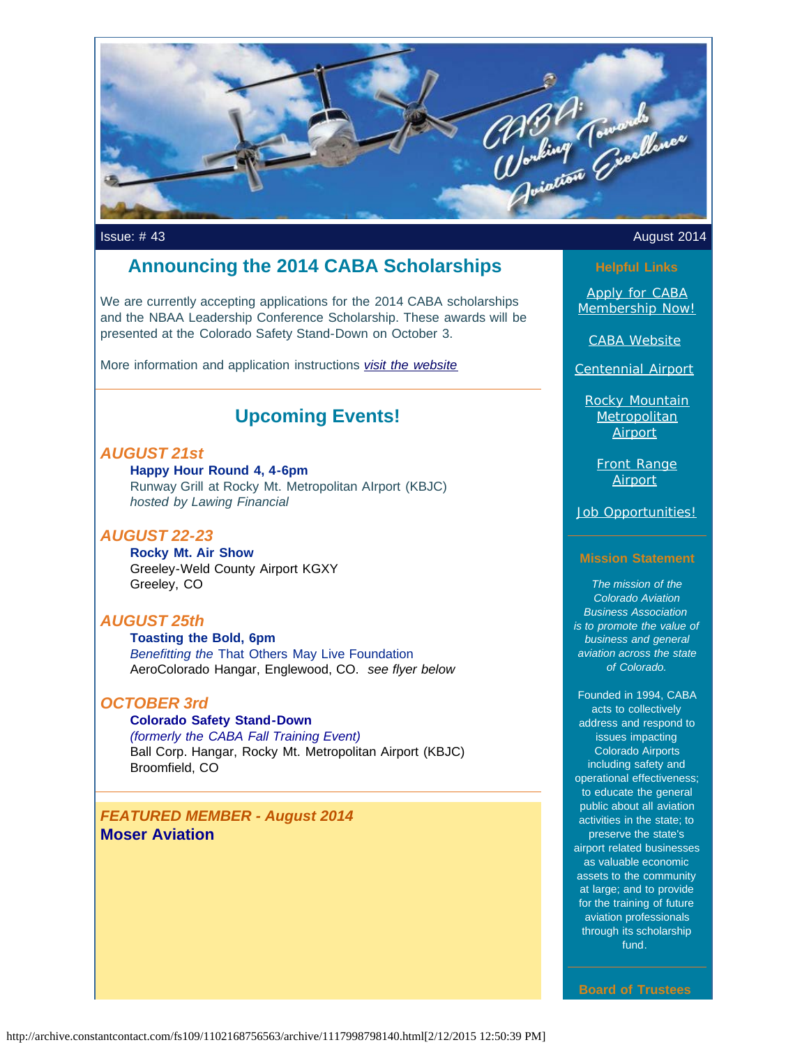

## **Announcing the 2014 CABA Scholarships**

We are currently accepting applications for the 2014 CABA scholarships and the NBAA Leadership Conference Scholarship. These awards will be presented at the Colorado Safety Stand-Down on October 3.

More information and application instructions *[visit the website](http://www.mycaba.org/2014scholarships?utm_source=Newsletter+August+2014&utm_campaign=August+2014+Newsletter&utm_medium=email)*

# **Upcoming Events!**

## *AUGUST 21st*

**Happy Hour Round 4, 4-6pm**  Runway Grill at Rocky Mt. Metropolitan AIrport (KBJC) *hosted by Lawing Financial*

## *AUGUST 22-23*

**Rocky Mt. Air Show** Greeley-Weld County Airport KGXY Greeley, CO

## *AUGUST 25th*

**Toasting the Bold, 6pm** *Benefitting the* That Others May Live Foundation AeroColorado Hangar, Englewood, CO. *see flyer below*

## *OCTOBER 3rd*

## **Colorado Safety Stand-Down**

*(formerly the CABA Fall Training Event)* Ball Corp. Hangar, Rocky Mt. Metropolitan Airport (KBJC) Broomfield, CO

*FEATURED MEMBER - August 2014* **Moser Aviation**

## Issue: # 43 August 2014

[Apply for CABA](http://www.mycaba.org/application?utm_source=Newsletter+August+2014&utm_campaign=August+2014+Newsletter&utm_medium=email) [Membership Now!](http://www.mycaba.org/application?utm_source=Newsletter+August+2014&utm_campaign=August+2014+Newsletter&utm_medium=email)

[CABA Website](http://www.mycaba.org/?utm_source=Newsletter+August+2014&utm_campaign=August+2014+Newsletter&utm_medium=email)

[Centennial Airport](http://centennialairport.com/?utm_source=Newsletter+August+2014&utm_campaign=August+2014+Newsletter&utm_medium=email)

[Rocky Mountain](http://jeffco.us/airport/?utm_source=Newsletter+August+2014&utm_campaign=August+2014+Newsletter&utm_medium=email) **[Metropolitan](http://jeffco.us/airport/?utm_source=Newsletter+August+2014&utm_campaign=August+2014+Newsletter&utm_medium=email) [Airport](http://jeffco.us/airport/?utm_source=Newsletter+August+2014&utm_campaign=August+2014+Newsletter&utm_medium=email)** 

> [Front Range](http://www.ftg-airport.com/?utm_source=Newsletter+August+2014&utm_campaign=August+2014+Newsletter&utm_medium=email) **[Airport](http://www.ftg-airport.com/?utm_source=Newsletter+August+2014&utm_campaign=August+2014+Newsletter&utm_medium=email)**

[Job Opportunities!](http://mycaba.org/JobOps?utm_source=Newsletter+August+2014&utm_campaign=August+2014+Newsletter&utm_medium=email)

### **Mission Statement**

*The mission of the Colorado Aviation Business Association is to promote the value of business and general aviation across the state of Colorado.*

Founded in 1994, CABA acts to collectively address and respond to issues impacting Colorado Airports including safety and operational effectiveness; to educate the general public about all aviation activities in the state; to preserve the state's airport related businesses as valuable economic assets to the community at large; and to provide for the training of future aviation professionals through its scholarship fund.

**Board of Trustees**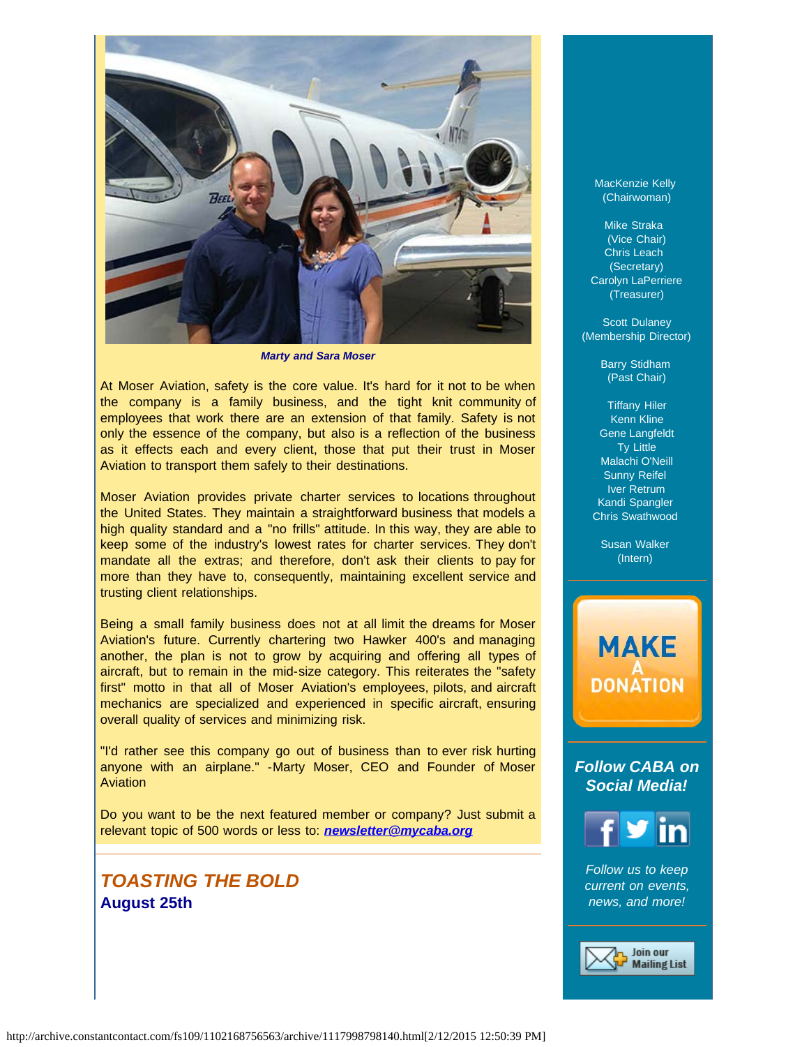

*Marty and Sara Moser*

At Moser Aviation, safety is the core value. It's hard for it not to be when the company is a family business, and the tight knit community of employees that work there are an extension of that family. Safety is not only the essence of the company, but also is a reflection of the business as it effects each and every client, those that put their trust in Moser Aviation to transport them safely to their destinations.

Moser Aviation provides private charter services to locations throughout the United States. They maintain a straightforward business that models a high quality standard and a "no frills" attitude. In this way, they are able to keep some of the industry's lowest rates for charter services. They don't mandate all the extras; and therefore, don't ask their clients to pay for more than they have to, consequently, maintaining excellent service and trusting client relationships.

Being a small family business does not at all limit the dreams for Moser Aviation's future. Currently chartering two Hawker 400's and managing another, the plan is not to grow by acquiring and offering all types of aircraft, but to remain in the mid-size category. This reiterates the "safety first" motto in that all of Moser Aviation's employees, pilots, and aircraft mechanics are specialized and experienced in specific aircraft, ensuring overall quality of services and minimizing risk.

"I'd rather see this company go out of business than to ever risk hurting anyone with an airplane." -Marty Moser, CEO and Founder of Moser Aviation

Do you want to be the next featured member or company? Just submit a relevant topic of 500 words or less to: *[newsletter@mycaba.org](mailto:bdavies@mycaba.org)* 

# *TOASTING THE BOLD* **August 25th**

MacKenzie Kelly (Chairwoman)

Mike Straka (Vice Chair) Chris Leach (Secretary) Carolyn LaPerriere (Treasurer)

**Scott Dulaney** (Membership Director)

> Barry Stidham (Past Chair)

Tiffany Hiler Kenn Kline Gene Langfeldt Ty Little Malachi O'Neill Sunny Reifel Iver Retrum Kandi Spangler Chris Swathwood

Susan Walker (Intern)

# **MAKE DONATION**

*Follow CABA on Social Media!*



*Follow us to keep current on events, news, and more!*

> Join our **Mailing List**

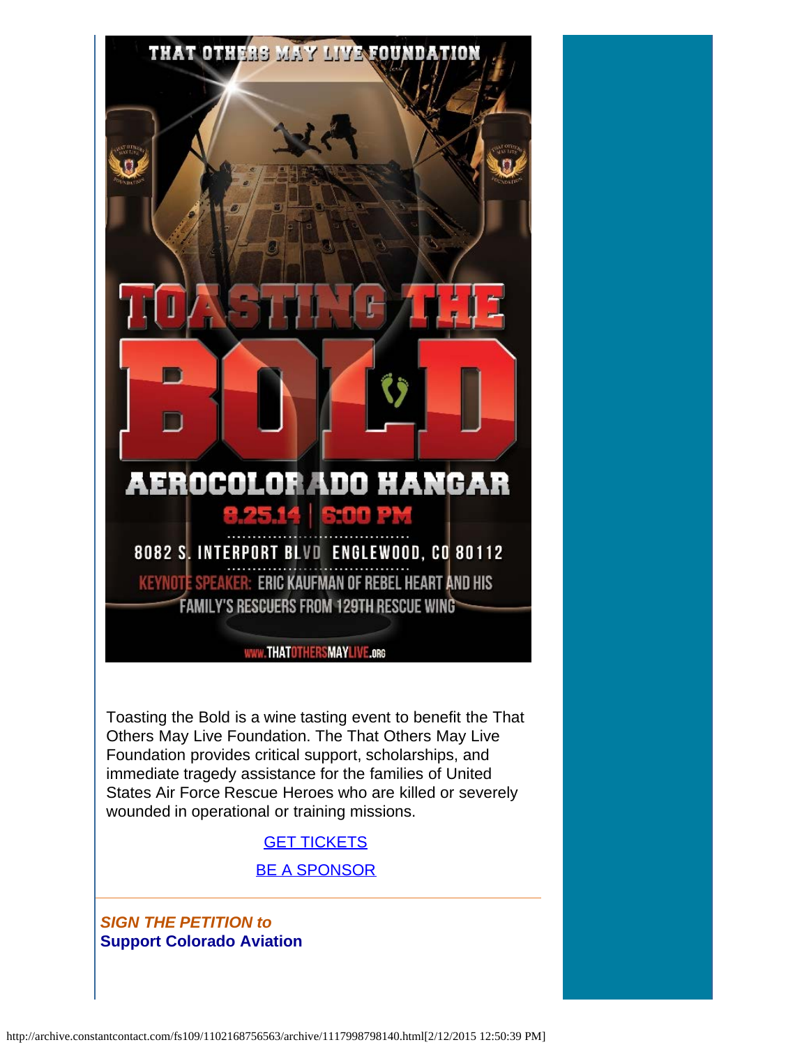

Toasting the Bold is a wine tasting event to benefit the That Others May Live Foundation. The That Others May Live Foundation provides critical support, scholarships, and immediate tragedy assistance for the families of United States Air Force Rescue Heroes who are killed or severely wounded in operational or training missions.

## **[GET TICKETS](http://thatothersmaylive.us8.list-manage.com/track/click?u=488972acfa0b7bcf0dfad6f6c&id=9db418a44e&e=24c3fa00a7&utm_source=Newsletter+August+2014&utm_campaign=August+2014+Newsletter&utm_medium=email)**

[BE A SPONSOR](mailto:kori@mcclurg.net)

*SIGN THE PETITION to*  **Support Colorado Aviation**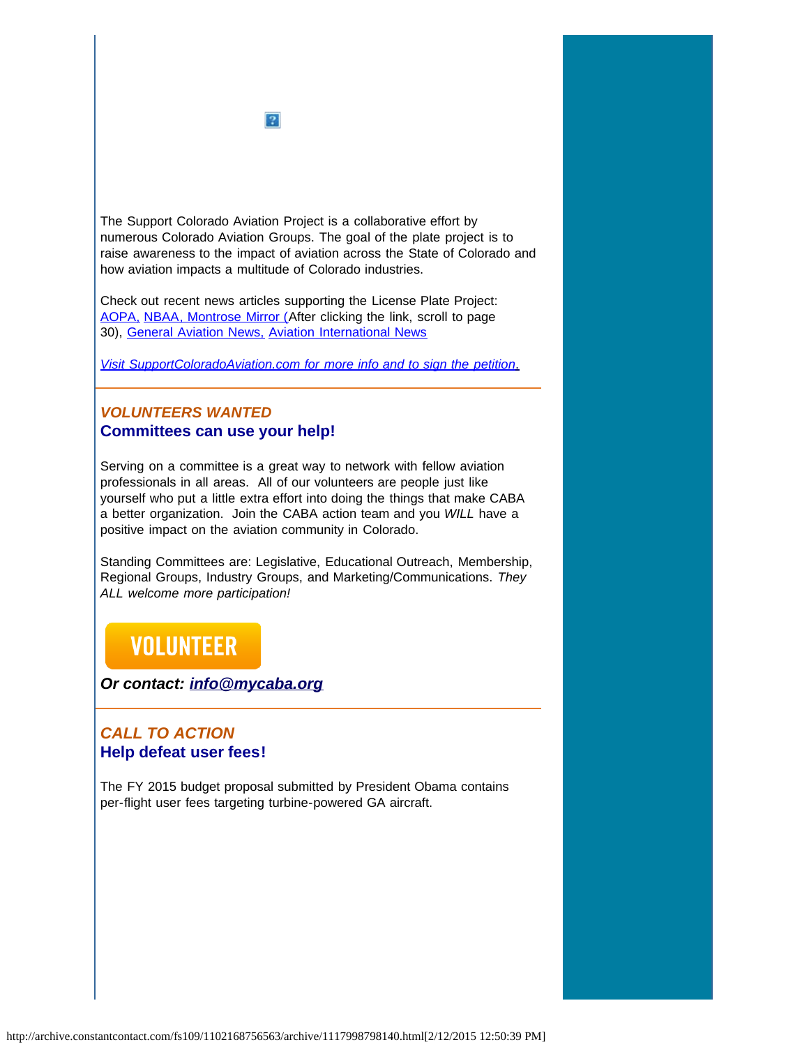

The Support Colorado Aviation Project is a collaborative effort by numerous Colorado Aviation Groups. The goal of the plate project is to raise awareness to the impact of aviation across the State of Colorado and how aviation impacts a multitude of Colorado industries.

Check out recent news articles supporting the License Plate Project: [AOPA,](http://www.aopa.org/News-and-Video/All-News/2014/June/11/Colorado-petition-seeks-aviation-license-plate.aspx?utm_source=Newsletter+August+2014&utm_campaign=August+2014+Newsletter&utm_medium=email) [NBAA](http://www.nbaa.org/advocacy/regional/20140704-proposed-license-plate-would-support-colorado-aviation.php?utm_source=Newsletter+August+2014&utm_campaign=August+2014+Newsletter&utm_medium=email)[, Montrose Mirror \(A](http://montrosemirror.com/wp-content/uploads/2014/07/ISSUE88.pdf?utm_source=Campaign+Created+2014%2F07%2F15%2C+7%3A14+AM&utm_campaign=ISSUE88&utm_medium=email&utm_source=Newsletter+August+2014&utm_campaign=August+2014+Newsletter&utm_medium=email)fter clicking the link, scroll to page 30), [General Aviation News,](http://generalaviationnews.com/2014/06/30/colorado-support-aviation-license-plate-introduced/?utm_source=Newsletter+August+2014&utm_campaign=August+2014+Newsletter&utm_medium=email) [Aviation International News](http://www.ainonline.com/aviation-news/ainalerts/2014-06-19/colorado-aviation-groups-seek-signatures-aviation-license-plate-project?utm_source=Newsletter+August+2014&utm_campaign=August+2014+Newsletter&utm_medium=email)

*[Visit SupportColoradoAviation.com for more info and to sign the petition](http://www.supportcoloradoaviation.com/?utm_source=Newsletter+August+2014&utm_campaign=August+2014+Newsletter&utm_medium=email)*[.](http://www.supportcoloradoaviation.com/?utm_source=Newsletter+August+2014&utm_campaign=August+2014+Newsletter&utm_medium=email)

## *VOLUNTEERS WANTED* **Committees can use your help!**

Serving on a committee is a great way to network with fellow aviation professionals in all areas. All of our volunteers are people just like yourself who put a little extra effort into doing the things that make CABA a better organization. Join the CABA action team and you *WILL* have a positive impact on the aviation community in Colorado.

Standing Committees are: Legislative, Educational Outreach, Membership, Regional Groups, Industry Groups, and Marketing/Communications. *They ALL welcome more participation!*

# **VOLUNTEER**

*Or contact: [info@mycaba.org](mailto:info@mycaba.org)*

## *CALL TO ACTION*  **Help defeat user fees!**

The FY 2015 budget proposal submitted by President Obama contains per-flight user fees targeting turbine-powered GA aircraft.